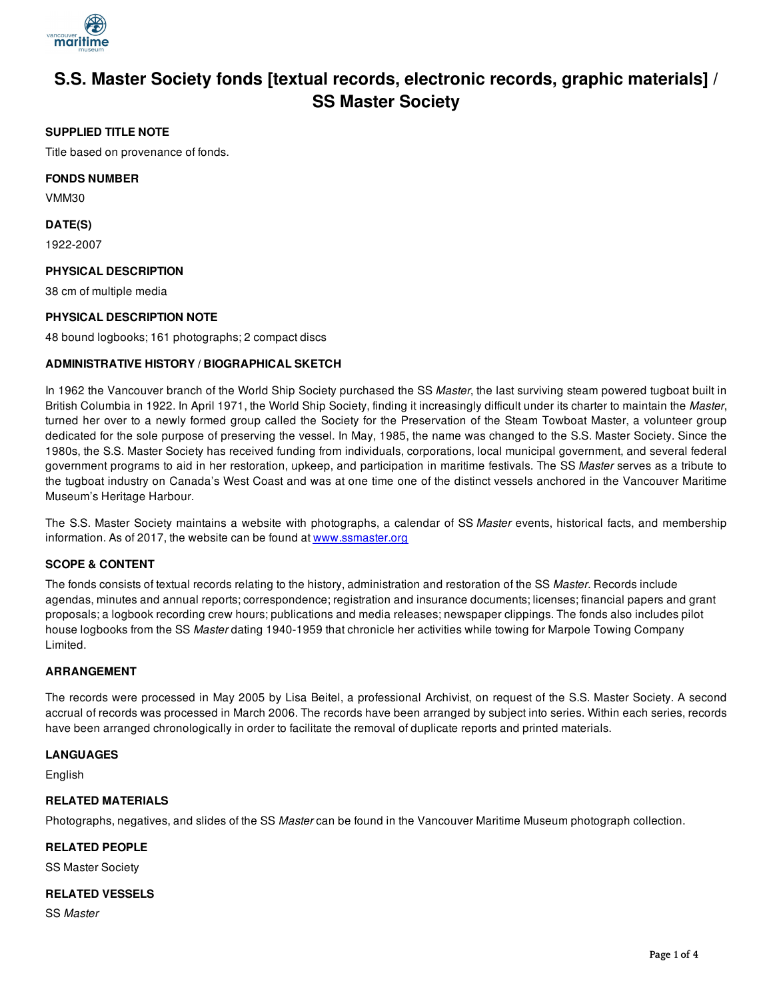

# **S.S. Master Society fonds [textual records, electronic records, graphic materials] / SS Master Society**

# **SUPPLIED TITLE NOTE**

Title based on provenance of fonds.

## **FONDS NUMBER**

VMM30

## **DATE(S)**

1922-2007

# **PHYSICAL DESCRIPTION**

38 cm of multiple media

# **PHYSICAL DESCRIPTION NOTE**

48 bound logbooks; 161 photographs; 2 compact discs

# **ADMINISTRATIVE HISTORY / BIOGRAPHICAL SKETCH**

In 1962 the Vancouver branch of the World Ship Society purchased the SS *Master*, the last surviving steam powered tugboat built in British Columbia in 1922. In April 1971, the World Ship Society, finding it increasingly difficult under its charter to maintain the *Master*, turned her over to a newly formed group called the Society for the Preservation of the Steam Towboat Master, a volunteer group dedicated for the sole purpose of preserving the vessel. In May, 1985, the name was changed to the S.S. Master Society. Since the 1980s, the S.S. Master Society has received funding from individuals, corporations, local municipal government, and several federal government programs to aid in her restoration, upkeep, and participation in maritime festivals. The SS *Master* serves as a tribute to the tugboat industry on Canada's West Coast and was at one time one of the distinct vessels anchored in the Vancouver Maritime Museum's Heritage Harbour.

The S.S. Master Society maintains a website with photographs, a calendar of SS *Master* events, historical facts, and membership information. As of 2017, the website can be found at [www.ssmaster.org](http://www.ssmaster.org/)

### **SCOPE & CONTENT**

The fonds consists of textual records relating to the history, administration and restoration of the SS *Master*. Records include agendas, minutes and annual reports; correspondence; registration and insurance documents; licenses; financial papers and grant proposals; a logbook recording crew hours; publications and media releases; newspaper clippings. The fonds also includes pilot house logbooks from the SS *Master* dating 1940-1959 that chronicle her activities while towing for Marpole Towing Company Limited.

### **ARRANGEMENT**

The records were processed in May 2005 by Lisa Beitel, a professional Archivist, on request of the S.S. Master Society. A second accrual of records was processed in March 2006. The records have been arranged by subject into series. Within each series, records have been arranged chronologically in order to facilitate the removal of duplicate reports and printed materials.

### **LANGUAGES**

English

## **RELATED MATERIALS**

Photographs, negatives, and slides of the SS *Master* can be found in the Vancouver Maritime Museum photograph collection.

### **RELATED PEOPLE**

SS Master Society

### **RELATED VESSELS**

SS *Master*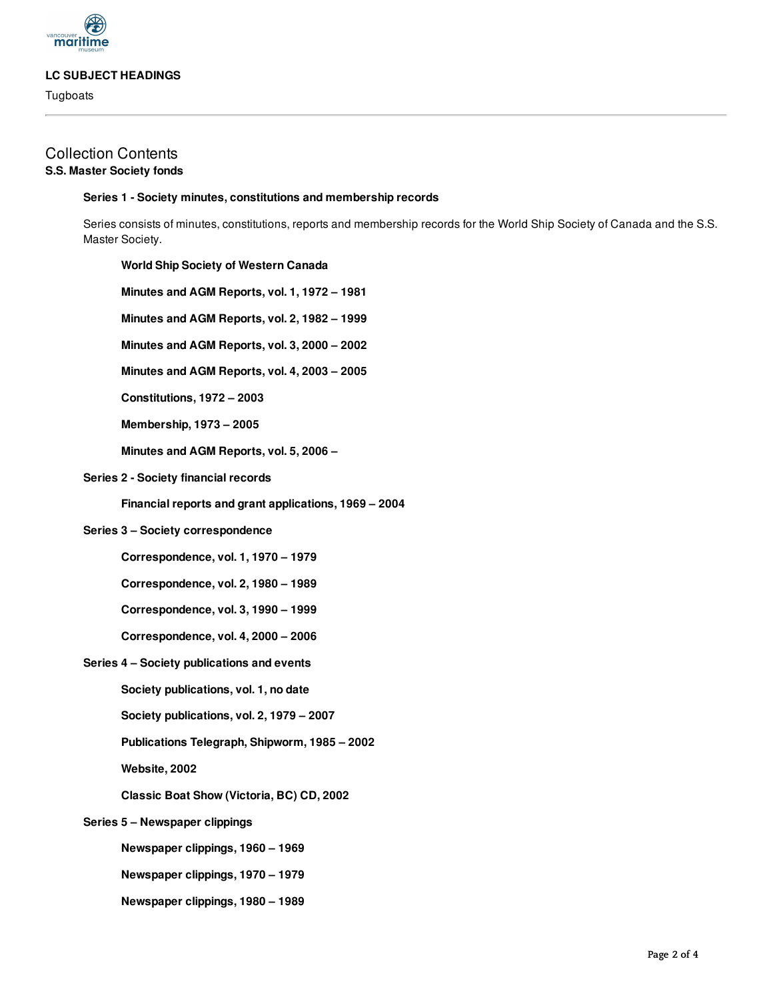

### **LC SUBJECT HEADINGS**

**Tugboats** 

#### **Series 1 - Society minutes, constitutions and membership records**

Series consists of minutes, constitutions, reports and membership records for the World Ship Society of Canada and the S.S. Master Society.

#### **World Ship Society of Western Canada**

- **Minutes and AGM Reports, vol. 1, 1972 – 1981**
- **Minutes and AGM Reports, vol. 2, 1982 – 1999**
- **Minutes and AGM Reports, vol. 3, 2000 – 2002**
- **Minutes and AGM Reports, vol. 4, 2003 – 2005**
- **Constitutions, 1972 – 2003**
- **Membership, 1973 – 2005**
- **Minutes and AGM Reports, vol. 5, 2006 –**

#### **Series 2 - Society financial records**

**Financial reports and grant applications, 1969 – 2004**

### **Series 3 – Society correspondence**

- **Correspondence, vol. 1, 1970 – 1979**
- **Correspondence, vol. 2, 1980 – 1989**
- **Correspondence, vol. 3, 1990 – 1999**
- **Correspondence, vol. 4, 2000 – 2006**
- **Series 4 – Society publications and events**
	- **Society publications, vol. 1, no date**
	- **Society publications, vol. 2, 1979 – 2007**
	- **Publications Telegraph, Shipworm, 1985 – 2002**
	- **Website, 2002**
	- **Classic Boat Show (Victoria, BC) CD, 2002**
- **Series 5 – Newspaper clippings**
	- **Newspaper clippings, 1960 – 1969**
	- **Newspaper clippings, 1970 – 1979**
	- **Newspaper clippings, 1980 – 1989**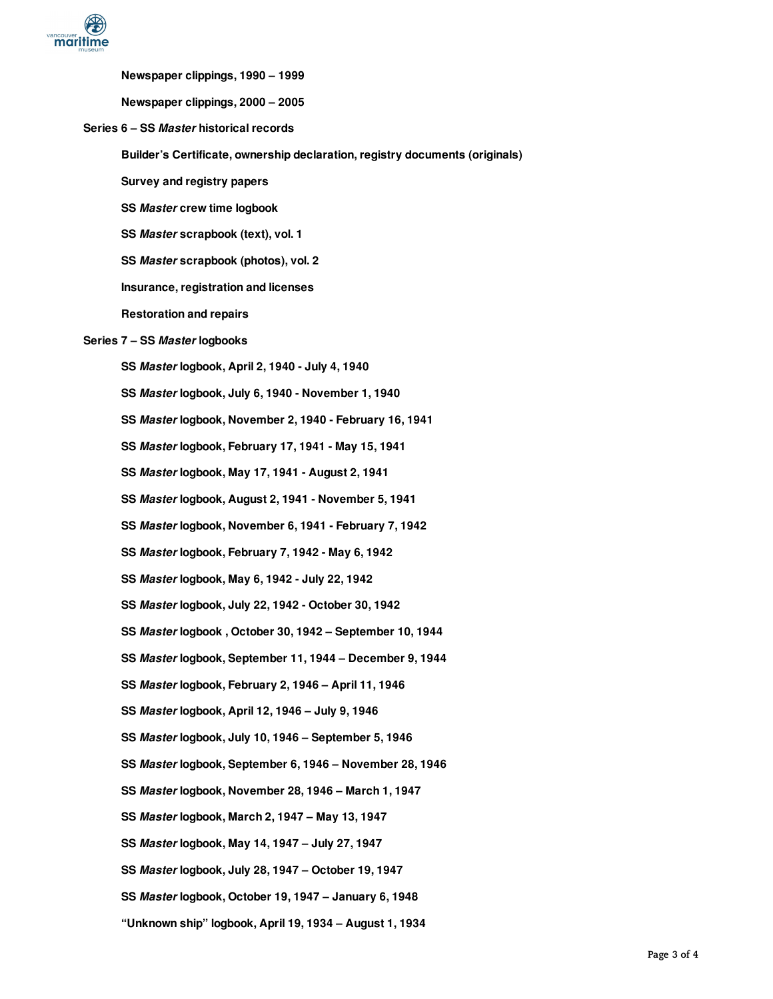

**Newspaper clippings, 1990 – 1999**

**Newspaper clippings, 2000 – 2005**

**Series 6 – SS** *Master* **historical records**

**Builder's Certificate, ownership declaration, registry documents (originals)**

**Survey and registry papers**

**SS** *Master* **crew time logbook**

**SS** *Master* **scrapbook (text), vol. 1**

**SS** *Master* **scrapbook (photos), vol. 2**

**Insurance, registration and licenses**

**Restoration and repairs**

#### **Series 7 – SS** *Master* **logbooks**

- **SS** *Master* **logbook, April 2, 1940 - July 4, 1940**
- **SS** *Master* **logbook, July 6, 1940 - November 1, 1940**
- **SS** *Master* **logbook, November 2, 1940 - February 16, 1941**

**SS** *Master* **logbook, February 17, 1941 - May 15, 1941**

**SS** *Master* **logbook, May 17, 1941 - August 2, 1941**

**SS** *Master* **logbook, August 2, 1941 - November 5, 1941**

**SS** *Master* **logbook, November 6, 1941 - February 7, 1942**

**SS** *Master* **logbook, February 7, 1942 - May 6, 1942**

**SS** *Master* **logbook, May 6, 1942 - July 22, 1942**

**SS** *Master* **logbook, July 22, 1942 - October 30, 1942**

**SS** *Master* **logbook , October 30, 1942 – September 10, 1944**

**SS** *Master* **logbook, September 11, 1944 – December 9, 1944**

- **SS** *Master* **logbook, February 2, 1946 – April 11, 1946**
- **SS** *Master* **logbook, April 12, 1946 – July 9, 1946**

**SS** *Master* **logbook, July 10, 1946 – September 5, 1946**

**SS** *Master* **logbook, September 6, 1946 – November 28, 1946**

**SS** *Master* **logbook, November 28, 1946 – March 1, 1947**

**SS** *Master* **logbook, March 2, 1947 – May 13, 1947**

**SS** *Master* **logbook, May 14, 1947 – July 27, 1947**

**SS** *Master* **logbook, July 28, 1947 – October 19, 1947**

**SS** *Master* **logbook, October 19, 1947 – January 6, 1948**

**"Unknown ship" logbook, April 19, 1934 – August 1, 1934**